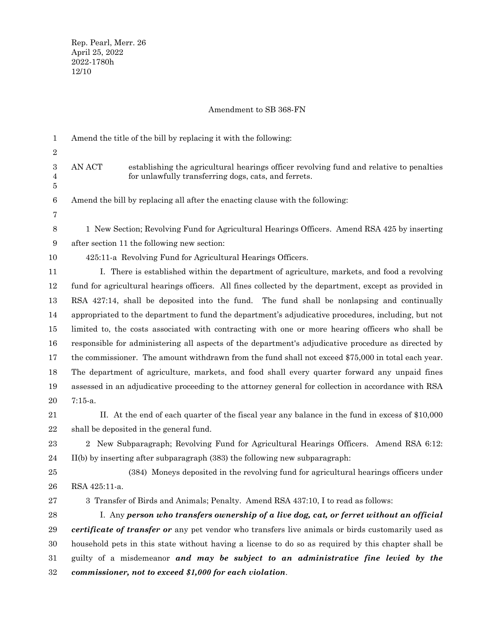## Amendment to SB 368-FN

| 1           | Amend the title of the bill by replacing it with the following:                                                                                           |
|-------------|-----------------------------------------------------------------------------------------------------------------------------------------------------------|
| 2           |                                                                                                                                                           |
| 3<br>4<br>5 | establishing the agricultural hearings officer revolving fund and relative to penalties<br>AN ACT<br>for unlawfully transferring dogs, cats, and ferrets. |
| 6<br>7      | Amend the bill by replacing all after the enacting clause with the following:                                                                             |
| 8           | 1 New Section; Revolving Fund for Agricultural Hearings Officers. Amend RSA 425 by inserting                                                              |
| 9           | after section 11 the following new section:                                                                                                               |
| 10          | 425:11-a Revolving Fund for Agricultural Hearings Officers.                                                                                               |
|             |                                                                                                                                                           |
| 11          | I. There is established within the department of agriculture, markets, and food a revolving                                                               |
| 12          | fund for agricultural hearings officers. All fines collected by the department, except as provided in                                                     |
| 13          | RSA 427:14, shall be deposited into the fund. The fund shall be nonlapsing and continually                                                                |
| 14          | appropriated to the department to fund the department's adjudicative procedures, including, but not                                                       |
| 15          | limited to, the costs associated with contracting with one or more hearing officers who shall be                                                          |
| 16          | responsible for administering all aspects of the department's adjudicative procedure as directed by                                                       |
| 17          | the commissioner. The amount withdrawn from the fund shall not exceed \$75,000 in total each year.                                                        |
| 18          | The department of agriculture, markets, and food shall every quarter forward any unpaid fines                                                             |
| 19          | assessed in an adjudicative proceeding to the attorney general for collection in accordance with RSA                                                      |
| 20          | $7:15-a.$                                                                                                                                                 |
| 21          | II. At the end of each quarter of the fiscal year any balance in the fund in excess of \$10,000                                                           |
| 22          | shall be deposited in the general fund.                                                                                                                   |
| 23          | 2 New Subparagraph; Revolving Fund for Agricultural Hearings Officers. Amend RSA 6:12:                                                                    |
| 24          | $II(b)$ by inserting after subparagraph $(383)$ the following new subparagraph:                                                                           |
| 25          | (384) Moneys deposited in the revolving fund for agricultural hearings officers under                                                                     |
| 26          | RSA 425:11-a.                                                                                                                                             |
| 27          | 3 Transfer of Birds and Animals; Penalty. Amend RSA 437:10, I to read as follows:                                                                         |
| 28          | I. Any person who transfers ownership of a live dog, cat, or ferret without an official                                                                   |
| 29          | certificate of transfer or any pet vendor who transfers live animals or birds customarily used as                                                         |
| 30          | household pets in this state without having a license to do so as required by this chapter shall be                                                       |
| 31          | guilty of a misdemeanor and may be subject to an administrative fine levied by the                                                                        |
| 32          | commissioner, not to exceed \$1,000 for each violation.                                                                                                   |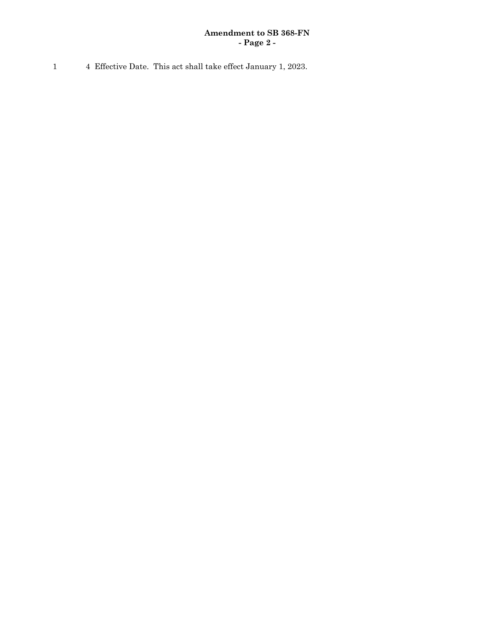## **Amendment to SB 368-FN - Page 2 -**

1 4 Effective Date. This act shall take effect January 1, 2023.